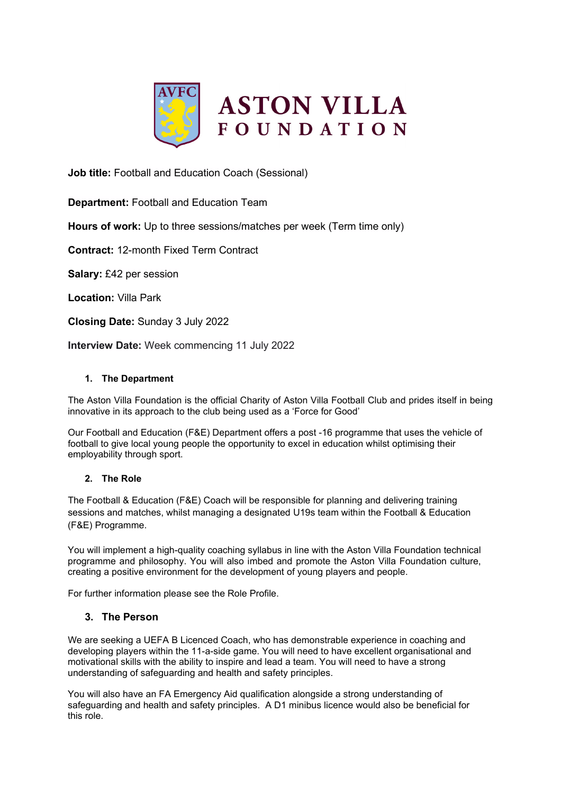

**Job title:** Football and Education Coach (Sessional)

**Department:** Football and Education Team

**Hours of work:** Up to three sessions/matches per week (Term time only)

**Contract:** 12-month Fixed Term Contract

**Salary:** £42 per session

**Location:** Villa Park

**Closing Date:** Sunday 3 July 2022

**Interview Date:** Week commencing 11 July 2022

# **1. The Department**

The Aston Villa Foundation is the official Charity of Aston Villa Football Club and prides itself in being innovative in its approach to the club being used as a 'Force for Good'

Our Football and Education (F&E) Department offers a post -16 programme that uses the vehicle of football to give local young people the opportunity to excel in education whilst optimising their employability through sport.

# **2. The Role**

The Football & Education (F&E) Coach will be responsible for planning and delivering training sessions and matches, whilst managing a designated U19s team within the Football & Education (F&E) Programme.

You will implement a high-quality coaching syllabus in line with the Aston Villa Foundation technical programme and philosophy. You will also imbed and promote the Aston Villa Foundation culture, creating a positive environment for the development of young players and people.

For further information please see the Role Profile.

# **3. The Person**

We are seeking a UEFA B Licenced Coach, who has demonstrable experience in coaching and developing players within the 11-a-side game. You will need to have excellent organisational and motivational skills with the ability to inspire and lead a team. You will need to have a strong understanding of safeguarding and health and safety principles.

You will also have an FA Emergency Aid qualification alongside a strong understanding of safeguarding and health and safety principles. A D1 minibus licence would also be beneficial for this role.